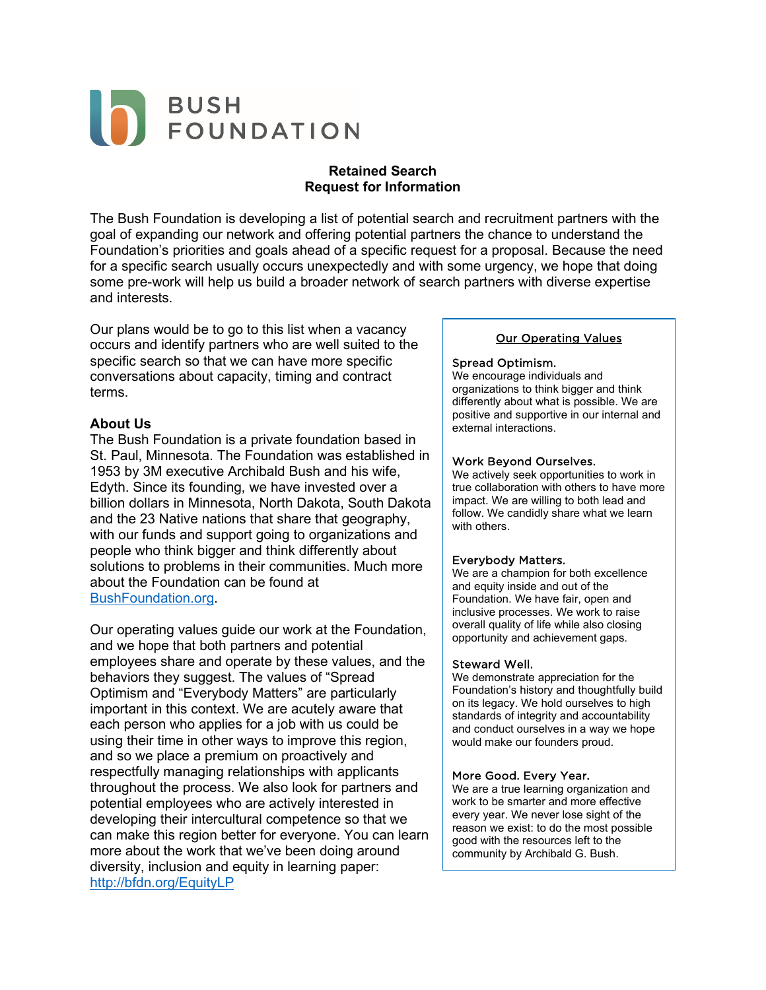# BUSH<br>FOUNDATION

## **Retained Search Request for Information**

The Bush Foundation is developing a list of potential search and recruitment partners with the goal of expanding our network and offering potential partners the chance to understand the Foundation's priorities and goals ahead of a specific request for a proposal. Because the need for a specific search usually occurs unexpectedly and with some urgency, we hope that doing some pre-work will help us build a broader network of search partners with diverse expertise and interests.

Our plans would be to go to this list when a vacancy occurs and identify partners who are well suited to the specific search so that we can have more specific conversations about capacity, timing and contract terms.

## **About Us**

The Bush Foundation is a private foundation based in St. Paul, Minnesota. The Foundation was established in 1953 by 3M executive Archibald Bush and his wife, Edyth. Since its founding, we have invested over a billion dollars in Minnesota, North Dakota, South Dakota and the 23 Native nations that share that geography, with our funds and support going to organizations and people who think bigger and think differently about solutions to problems in their communities. Much more about the Foundation can be found at [BushFoundation.org.](http://bushfoundation.org/)

Our operating values guide our work at the Foundation, and we hope that both partners and potential employees share and operate by these values, and the behaviors they suggest. The values of "Spread Optimism and "Everybody Matters" are particularly important in this context. We are acutely aware that each person who applies for a job with us could be using their time in other ways to improve this region, and so we place a premium on proactively and respectfully managing relationships with applicants throughout the process. We also look for partners and potential employees who are actively interested in developing their intercultural competence so that we can make this region better for everyone. You can learn more about the work that we've been doing around diversity, inclusion and equity in learning paper: <http://bfdn.org/EquityLP>

#### Our Operating Values

#### Spread Optimism.

We encourage individuals and organizations to think bigger and think differently about what is possible. We are positive and supportive in our internal and external interactions.

#### Work Beyond Ourselves.

We actively seek opportunities to work in true collaboration with others to have more impact. We are willing to both lead and follow. We candidly share what we learn with others.

#### Everybody Matters.

We are a champion for both excellence and equity inside and out of the Foundation. We have fair, open and inclusive processes. We work to raise overall quality of life while also closing opportunity and achievement gaps.

#### Steward Well.

We demonstrate appreciation for the Foundation's history and thoughtfully build on its legacy. We hold ourselves to high standards of integrity and accountability and conduct ourselves in a way we hope would make our founders proud.

#### More Good. Every Year.

We are a true learning organization and work to be smarter and more effective every year. We never lose sight of the reason we exist: to do the most possible good with the resources left to the community by Archibald G. Bush.